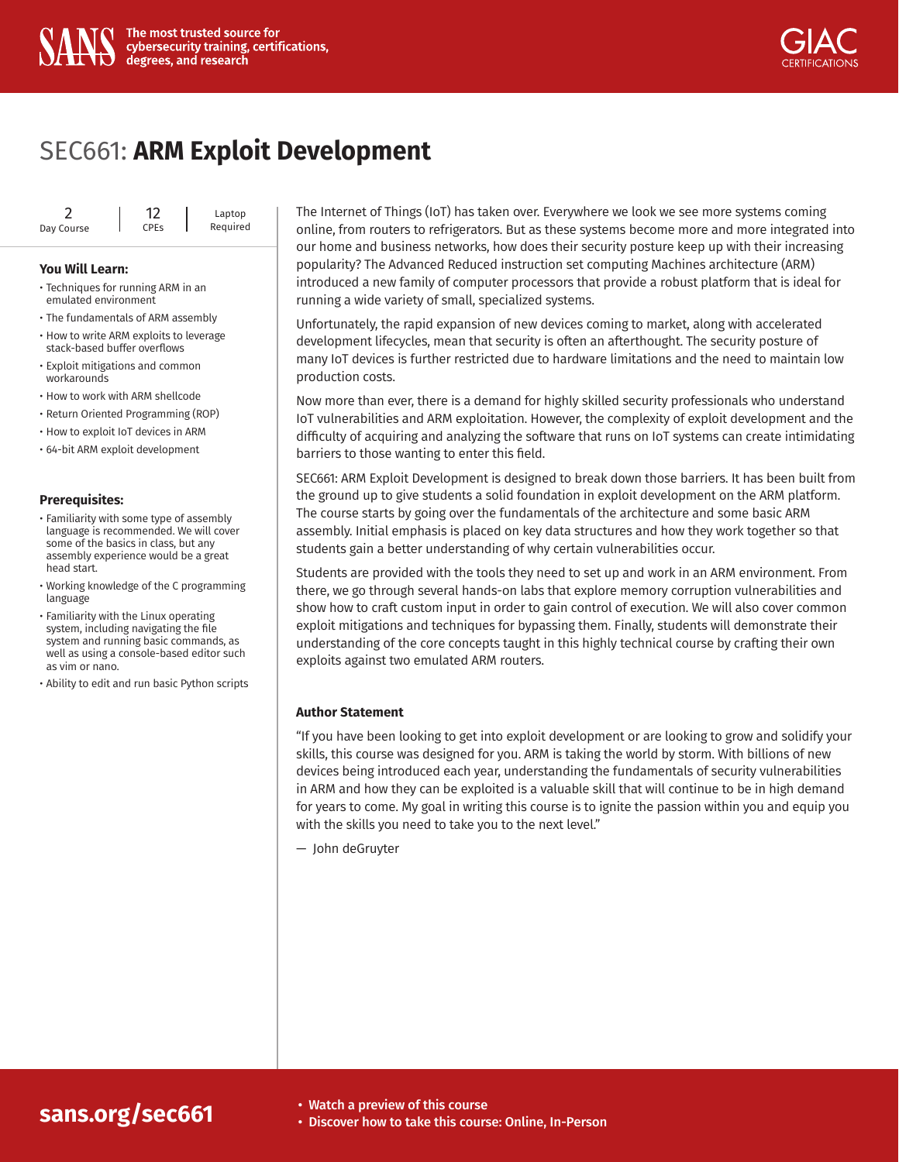



# SEC661: **[ARM Exploit Development](https://www.sans.org/cyber-security-courses/arm-exploit-development/)**

|            | 12                     | Laptop   |
|------------|------------------------|----------|
| Day Course | <b>CPE<sub>S</sub></b> | Required |

#### **You Will Learn:**

- Techniques for running ARM in an emulated environment
- The fundamentals of ARM assembly
- How to write ARM exploits to leverage stack-based buffer overflows
- Exploit mitigations and common workarounds
- How to work with ARM shellcode
- Return Oriented Programming (ROP)
- How to exploit IoT devices in ARM
- 64-bit ARM exploit development

#### **Prerequisites:**

- Familiarity with some type of assembly language is recommended. We will cover some of the basics in class, but any assembly experience would be a great head start.
- Working knowledge of the C programming language
- Familiarity with the Linux operating system, including navigating the file system and running basic commands, as well as using a console-based editor such as vim or nano.
- Ability to edit and run basic Python scripts

The Internet of Things (IoT) has taken over. Everywhere we look we see more systems coming online, from routers to refrigerators. But as these systems become more and more integrated into our home and business networks, how does their security posture keep up with their increasing popularity? The Advanced Reduced instruction set computing Machines architecture (ARM) introduced a new family of computer processors that provide a robust platform that is ideal for running a wide variety of small, specialized systems.

Unfortunately, the rapid expansion of new devices coming to market, along with accelerated development lifecycles, mean that security is often an afterthought. The security posture of many IoT devices is further restricted due to hardware limitations and the need to maintain low production costs.

Now more than ever, there is a demand for highly skilled security professionals who understand IoT vulnerabilities and ARM exploitation. However, the complexity of exploit development and the difficulty of acquiring and analyzing the software that runs on IoT systems can create intimidating barriers to those wanting to enter this field.

SEC661: ARM Exploit Development is designed to break down those barriers. It has been built from the ground up to give students a solid foundation in exploit development on the ARM platform. The course starts by going over the fundamentals of the architecture and some basic ARM assembly. Initial emphasis is placed on key data structures and how they work together so that students gain a better understanding of why certain vulnerabilities occur.

Students are provided with the tools they need to set up and work in an ARM environment. From there, we go through several hands-on labs that explore memory corruption vulnerabilities and show how to craft custom input in order to gain control of execution. We will also cover common exploit mitigations and techniques for bypassing them. Finally, students will demonstrate their understanding of the core concepts taught in this highly technical course by crafting their own exploits against two emulated ARM routers.

### **Author Statement**

"If you have been looking to get into exploit development or are looking to grow and solidify your skills, this course was designed for you. ARM is taking the world by storm. With billions of new devices being introduced each year, understanding the fundamentals of security vulnerabilities in ARM and how they can be exploited is a valuable skill that will continue to be in high demand for years to come. My goal in writing this course is to ignite the passion within you and equip you with the skills you need to take you to the next level."

— John deGruyter

## **sans.org/sec661**

- Watch a preview of this course
- [Discover how to take this course: Online, In-Person](https://www.sans.org/cyber-security-courses/arm-exploit-development/)